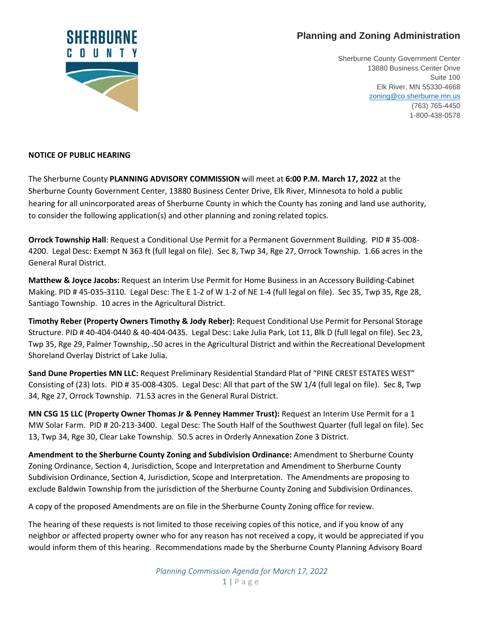## **Planning and Zoning Administration**



Sherburne County Government Center 13880 Business Center Drive Suite 100 Elk River, MN 55330-4668 [zoning@co.sherburne.mn.us](mailto:zoning@co.sherburne.mn.us) (763) 765-4450 1-800-438-0578

## **NOTICE OF PUBLIC HEARING**

The Sherburne County **PLANNING ADVISORY COMMISSION** will meet at **6:00 P.M. March 17, 2022** at the Sherburne County Government Center, 13880 Business Center Drive, Elk River, Minnesota to hold a public hearing for all unincorporated areas of Sherburne County in which the County has zoning and land use authority, to consider the following application(s) and other planning and zoning related topics.

**Orrock Township Hall**: Request a Conditional Use Permit for a Permanent Government Building. PID # 35-008- 4200. Legal Desc: Exempt N 363 ft (full legal on file). Sec 8, Twp 34, Rge 27, Orrock Township. 1.66 acres in the General Rural District.

**Matthew & Joyce Jacobs:** Request an Interim Use Permit for Home Business in an Accessory Building-Cabinet Making. PID # 45-035-3110. Legal Desc: The E 1-2 of W 1-2 of NE 1-4 (full legal on file). Sec 35, Twp 35, Rge 28, Santiago Township. 10 acres in the Agricultural District.

**Timothy Reber (Property Owners Timothy & Jody Reber):** Request Conditional Use Permit for Personal Storage Structure. PID # 40-404-0440 & 40-404-0435. Legal Desc: Lake Julia Park, Lot 11, Blk D (full legal on file). Sec 23, Twp 35, Rge 29, Palmer Township, .50 acres in the Agricultural District and within the Recreational Development Shoreland Overlay District of Lake Julia.

**Sand Dune Properties MN LLC:** Request Preliminary Residential Standard Plat of "PINE CREST ESTATES WEST" Consisting of (23) lots. PID # 35-008-4305. Legal Desc: All that part of the SW 1/4 (full legal on file). Sec 8, Twp 34, Rge 27, Orrock Township. 71.53 acres in the General Rural District.

**MN CSG 15 LLC (Property Owner Thomas Jr & Penney Hammer Trust):** Request an Interim Use Permit for a 1 MW Solar Farm. PID # 20-213-3400. Legal Desc: The South Half of the Southwest Quarter (full legal on file). Sec 13, Twp 34, Rge 30, Clear Lake Township. 50.5 acres in Orderly Annexation Zone 3 District.

**Amendment to the Sherburne County Zoning and Subdivision Ordinance:** Amendment to Sherburne County Zoning Ordinance, Section 4, Jurisdiction, Scope and Interpretation and Amendment to Sherburne County Subdivision Ordinance, Section 4, Jurisdiction, Scope and Interpretation. The Amendments are proposing to exclude Baldwin Township from the jurisdiction of the Sherburne County Zoning and Subdivision Ordinances.

A copy of the proposed Amendments are on file in the Sherburne County Zoning office for review.

The hearing of these requests is not limited to those receiving copies of this notice, and if you know of any neighbor or affected property owner who for any reason has not received a copy, it would be appreciated if you would inform them of this hearing. Recommendations made by the Sherburne County Planning Advisory Board